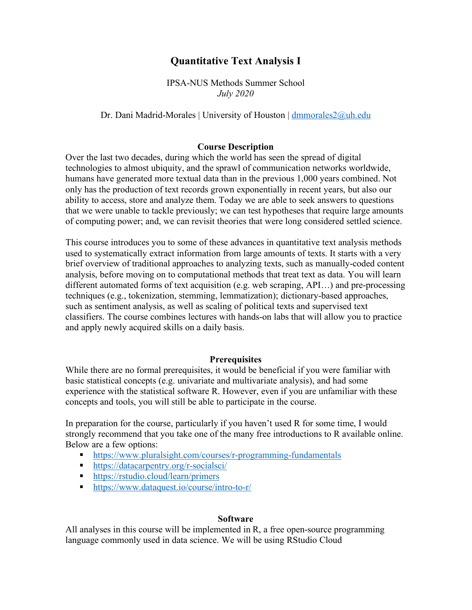# **Quantitative Text Analysis I**

IPSA-NUS Methods Summer School *July 2020*

#### Dr. Dani Madrid-Morales | University of Houston | dmmorales2@uh.edu

#### **Course Description**

Over the last two decades, during which the world has seen the spread of digital technologies to almost ubiquity, and the sprawl of communication networks worldwide, humans have generated more textual data than in the previous 1,000 years combined. Not only has the production of text records grown exponentially in recent years, but also our ability to access, store and analyze them. Today we are able to seek answers to questions that we were unable to tackle previously; we can test hypotheses that require large amounts of computing power; and, we can revisit theories that were long considered settled science.

This course introduces you to some of these advances in quantitative text analysis methods used to systematically extract information from large amounts of texts. It starts with a very brief overview of traditional approaches to analyzing texts, such as manually-coded content analysis, before moving on to computational methods that treat text as data. You will learn different automated forms of text acquisition (e.g. web scraping, API…) and pre-processing techniques (e.g., tokenization, stemming, lemmatization); dictionary-based approaches, such as sentiment analysis, as well as scaling of political texts and supervised text classifiers. The course combines lectures with hands-on labs that will allow you to practice and apply newly acquired skills on a daily basis.

#### **Prerequisites**

While there are no formal prerequisites, it would be beneficial if you were familiar with basic statistical concepts (e.g. univariate and multivariate analysis), and had some experience with the statistical software R. However, even if you are unfamiliar with these concepts and tools, you will still be able to participate in the course.

In preparation for the course, particularly if you haven't used R for some time, I would strongly recommend that you take one of the many free introductions to R available online. Below are a few options:

- https://www.pluralsight.com/courses/r-programming-fundamentals
- https://datacarpentry.org/r-socialsci/
- https://rstudio.cloud/learn/primers
- https://www.dataquest.io/course/intro-to-r/

#### **Software**

All analyses in this course will be implemented in R, a free open-source programming language commonly used in data science. We will be using RStudio Cloud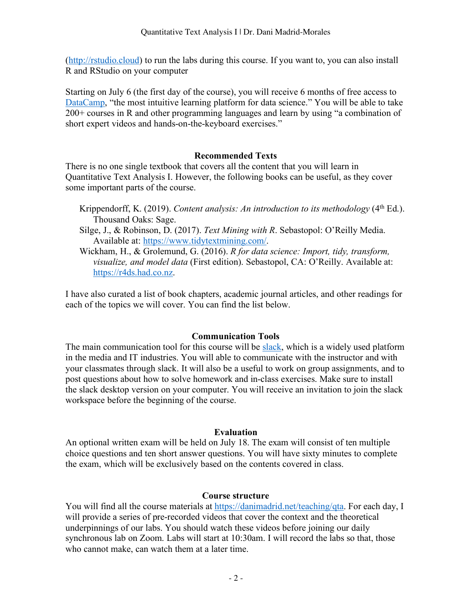(http://rstudio.cloud) to run the labs during this course. If you want to, you can also install R and RStudio on your computer

Starting on July 6 (the first day of the course), you will receive 6 months of free access to DataCamp, "the most intuitive learning platform for data science." You will be able to take 200+ courses in R and other programming languages and learn by using "a combination of short expert videos and hands-on-the-keyboard exercises."

# **Recommended Texts**

There is no one single textbook that covers all the content that you will learn in Quantitative Text Analysis I. However, the following books can be useful, as they cover some important parts of the course.

- Krippendorff, K. (2019). *Content analysis: An introduction to its methodology* (4th Ed.). Thousand Oaks: Sage.
- Silge, J., & Robinson, D. (2017). *Text Mining with R*. Sebastopol: O'Reilly Media. Available at: https://www.tidytextmining.com/.
- Wickham, H., & Grolemund, G. (2016). *R for data science: Import, tidy, transform, visualize, and model data* (First edition). Sebastopol, CA: O'Reilly. Available at: https://r4ds.had.co.nz.

I have also curated a list of book chapters, academic journal articles, and other readings for each of the topics we will cover. You can find the list below.

### **Communication Tools**

The main communication tool for this course will be slack, which is a widely used platform in the media and IT industries. You will able to communicate with the instructor and with your classmates through slack. It will also be a useful to work on group assignments, and to post questions about how to solve homework and in-class exercises. Make sure to install the slack desktop version on your computer. You will receive an invitation to join the slack workspace before the beginning of the course.

### **Evaluation**

An optional written exam will be held on July 18. The exam will consist of ten multiple choice questions and ten short answer questions. You will have sixty minutes to complete the exam, which will be exclusively based on the contents covered in class.

### **Course structure**

You will find all the course materials at https://danimadrid.net/teaching/qta. For each day, I will provide a series of pre-recorded videos that cover the context and the theoretical underpinnings of our labs. You should watch these videos before joining our daily synchronous lab on Zoom. Labs will start at 10:30am. I will record the labs so that, those who cannot make, can watch them at a later time.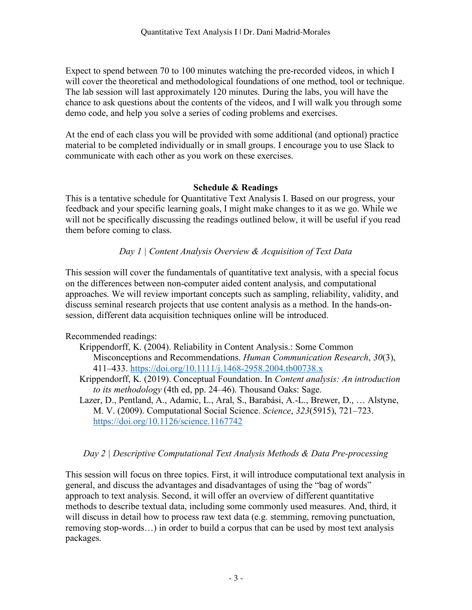Expect to spend between 70 to 100 minutes watching the pre-recorded videos, in which I will cover the theoretical and methodological foundations of one method, tool or technique. The lab session will last approximately 120 minutes. During the labs, you will have the chance to ask questions about the contents of the videos, and I will walk you through some demo code, and help you solve a series of coding problems and exercises.

At the end of each class you will be provided with some additional (and optional) practice material to be completed individually or in small groups. I encourage you to use Slack to communicate with each other as you work on these exercises.

### **Schedule & Readings**

This is a tentative schedule for Quantitative Text Analysis I. Based on our progress, your feedback and your specific learning goals, I might make changes to it as we go. While we will not be specifically discussing the readings outlined below, it will be useful if you read them before coming to class.

# *Day 1 | Content Analysis Overview & Acquisition of Text Data*

This session will cover the fundamentals of quantitative text analysis, with a special focus on the differences between non-computer aided content analysis, and computational approaches. We will review important concepts such as sampling, reliability, validity, and discuss seminal research projects that use content analysis as a method. In the hands-onsession, different data acquisition techniques online will be introduced.

# Recommended readings:

- Krippendorff, K. (2004). Reliability in Content Analysis.: Some Common Misconceptions and Recommendations. *Human Communication Research*, *30*(3), 411–433. https://doi.org/10.1111/j.1468-2958.2004.tb00738.x
- Krippendorff, K. (2019). Conceptual Foundation. In *Content analysis: An introduction to its methodology* (4th ed, pp. 24–46). Thousand Oaks: Sage.
- Lazer, D., Pentland, A., Adamic, L., Aral, S., Barabási, A.-L., Brewer, D., … Alstyne, M. V. (2009). Computational Social Science. *Science*, *323*(5915), 721–723. https://doi.org/10.1126/science.1167742

# *Day 2 | Descriptive Computational Text Analysis Methods & Data Pre-processing*

This session will focus on three topics. First, it will introduce computational text analysis in general, and discuss the advantages and disadvantages of using the "bag of words" approach to text analysis. Second, it will offer an overview of different quantitative methods to describe textual data, including some commonly used measures. And, third, it will discuss in detail how to process raw text data (e.g. stemming, removing punctuation, removing stop-words…) in order to build a corpus that can be used by most text analysis packages.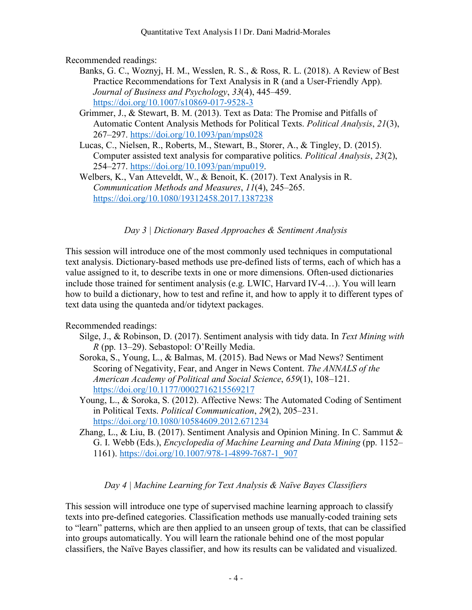Recommended readings:

- Banks, G. C., Woznyj, H. M., Wesslen, R. S., & Ross, R. L. (2018). A Review of Best Practice Recommendations for Text Analysis in R (and a User-Friendly App). *Journal of Business and Psychology*, *33*(4), 445–459. https://doi.org/10.1007/s10869-017-9528-3
- Grimmer, J., & Stewart, B. M. (2013). Text as Data: The Promise and Pitfalls of Automatic Content Analysis Methods for Political Texts. *Political Analysis*, *21*(3), 267–297. https://doi.org/10.1093/pan/mps028
- Lucas, C., Nielsen, R., Roberts, M., Stewart, B., Storer, A., & Tingley, D. (2015). Computer assisted text analysis for comparative politics. *Political Analysis*, *23*(2), 254–277. https://doi.org/10.1093/pan/mpu019.
- Welbers, K., Van Atteveldt, W., & Benoit, K. (2017). Text Analysis in R. *Communication Methods and Measures*, *11*(4), 245–265. https://doi.org/10.1080/19312458.2017.1387238

*Day 3 | Dictionary Based Approaches & Sentiment Analysis*

This session will introduce one of the most commonly used techniques in computational text analysis. Dictionary-based methods use pre-defined lists of terms, each of which has a value assigned to it, to describe texts in one or more dimensions. Often-used dictionaries include those trained for sentiment analysis (e.g. LWIC, Harvard IV-4…). You will learn how to build a dictionary, how to test and refine it, and how to apply it to different types of text data using the quanteda and/or tidytext packages.

Recommended readings:

- Silge, J., & Robinson, D. (2017). Sentiment analysis with tidy data. In *Text Mining with R* (pp. 13–29). Sebastopol: O'Reilly Media.
- Soroka, S., Young, L., & Balmas, M. (2015). Bad News or Mad News? Sentiment Scoring of Negativity, Fear, and Anger in News Content. *The ANNALS of the American Academy of Political and Social Science*, *659*(1), 108–121. https://doi.org/10.1177/0002716215569217
- Young, L., & Soroka, S. (2012). Affective News: The Automated Coding of Sentiment in Political Texts. *Political Communication*, *29*(2), 205–231. https://doi.org/10.1080/10584609.2012.671234
- Zhang, L., & Liu, B. (2017). Sentiment Analysis and Opinion Mining. In C. Sammut & G. I. Webb (Eds.), *Encyclopedia of Machine Learning and Data Mining* (pp. 1152– 1161). https://doi.org/10.1007/978-1-4899-7687-1\_907

# *Day 4 | Machine Learning for Text Analysis & Naïve Bayes Classifiers*

This session will introduce one type of supervised machine learning approach to classify texts into pre-defined categories. Classification methods use manually-coded training sets to "learn" patterns, which are then applied to an unseen group of texts, that can be classified into groups automatically. You will learn the rationale behind one of the most popular classifiers, the Naïve Bayes classifier, and how its results can be validated and visualized.